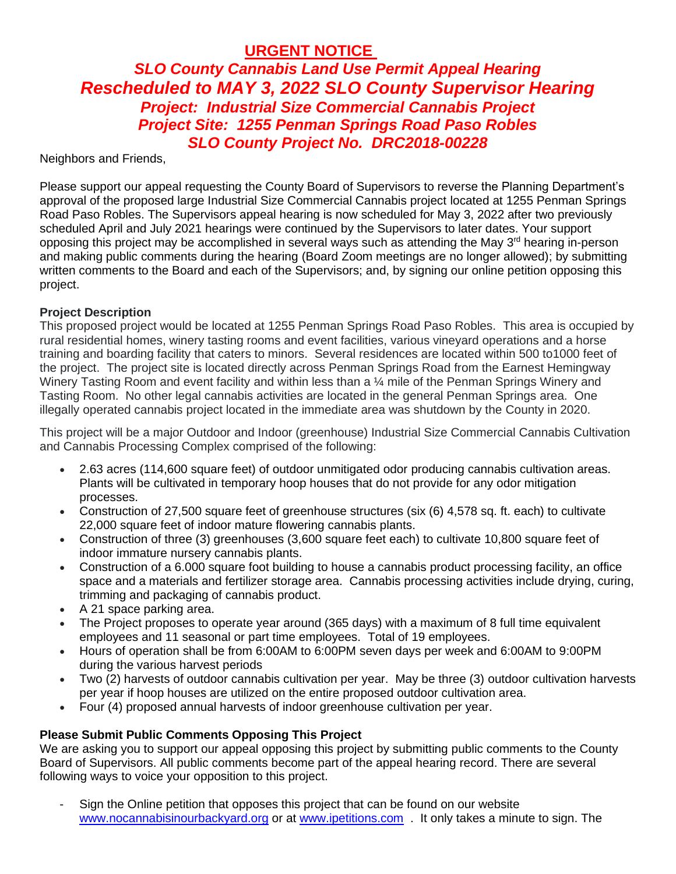**URGENT NOTICE** 

## *SLO County Cannabis Land Use Permit Appeal Hearing Rescheduled to MAY 3, 2022 SLO County Supervisor Hearing Project: Industrial Size Commercial Cannabis Project Project Site: 1255 Penman Springs Road Paso Robles SLO County Project No. DRC2018-00228*

Neighbors and Friends,

Please support our appeal requesting the County Board of Supervisors to reverse the Planning Department's approval of the proposed large Industrial Size Commercial Cannabis project located at 1255 Penman Springs Road Paso Robles. The Supervisors appeal hearing is now scheduled for May 3, 2022 after two previously scheduled April and July 2021 hearings were continued by the Supervisors to later dates. Your support opposing this project may be accomplished in several ways such as attending the May  $3<sup>rd</sup>$  hearing in-person and making public comments during the hearing (Board Zoom meetings are no longer allowed); by submitting written comments to the Board and each of the Supervisors; and, by signing our online petition opposing this project.

## **Project Description**

This proposed project would be located at 1255 Penman Springs Road Paso Robles. This area is occupied by rural residential homes, winery tasting rooms and event facilities, various vineyard operations and a horse training and boarding facility that caters to minors. Several residences are located within 500 to1000 feet of the project. The project site is located directly across Penman Springs Road from the Earnest Hemingway Winery Tasting Room and event facility and within less than a 1/4 mile of the Penman Springs Winery and Tasting Room. No other legal cannabis activities are located in the general Penman Springs area. One illegally operated cannabis project located in the immediate area was shutdown by the County in 2020.

This project will be a major Outdoor and Indoor (greenhouse) Industrial Size Commercial Cannabis Cultivation and Cannabis Processing Complex comprised of the following:

- 2.63 acres (114,600 square feet) of outdoor unmitigated odor producing cannabis cultivation areas. Plants will be cultivated in temporary hoop houses that do not provide for any odor mitigation processes.
- Construction of 27,500 square feet of greenhouse structures (six (6) 4,578 sq. ft. each) to cultivate 22,000 square feet of indoor mature flowering cannabis plants.
- Construction of three (3) greenhouses (3,600 square feet each) to cultivate 10,800 square feet of indoor immature nursery cannabis plants.
- Construction of a 6.000 square foot building to house a cannabis product processing facility, an office space and a materials and fertilizer storage area. Cannabis processing activities include drying, curing, trimming and packaging of cannabis product.
- A 21 space parking area.
- The Project proposes to operate year around (365 days) with a maximum of 8 full time equivalent employees and 11 seasonal or part time employees. Total of 19 employees.
- Hours of operation shall be from 6:00AM to 6:00PM seven days per week and 6:00AM to 9:00PM during the various harvest periods
- Two (2) harvests of outdoor cannabis cultivation per year. May be three (3) outdoor cultivation harvests per year if hoop houses are utilized on the entire proposed outdoor cultivation area.
- Four (4) proposed annual harvests of indoor greenhouse cultivation per year.

## **Please Submit Public Comments Opposing This Project**

We are asking you to support our appeal opposing this project by submitting public comments to the County Board of Supervisors. All public comments become part of the appeal hearing record. There are several following ways to voice your opposition to this project.

- Sign the Online petition that opposes this project that can be found on our website [www.nocannabisinourbackyard.org](http://www.nocannabisinourbackyard.org/) or at [www.ipetitions.com](http://www.ipetitions.com/) . It only takes a minute to sign. The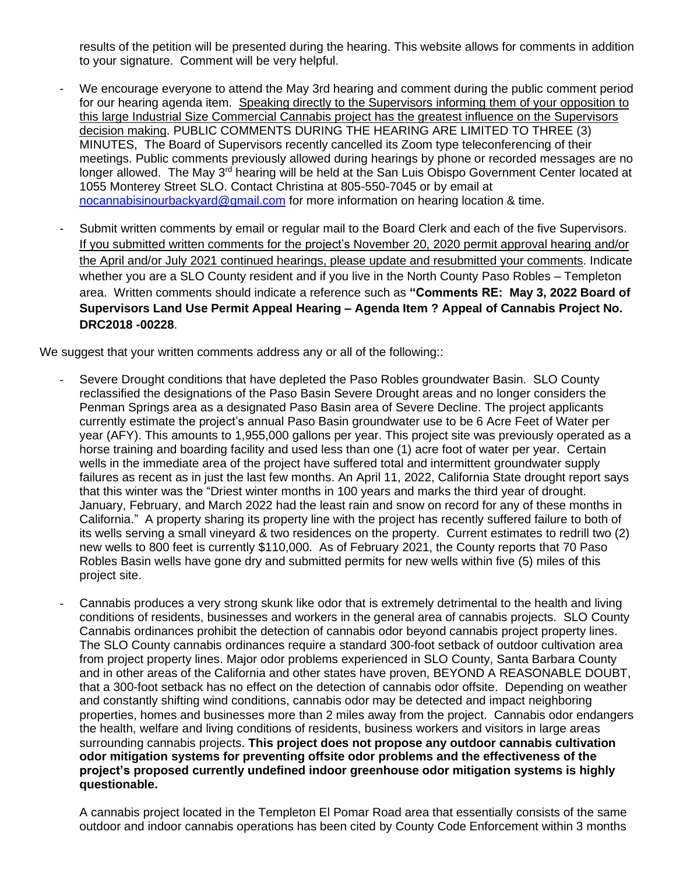results of the petition will be presented during the hearing. This website allows for comments in addition to your signature. Comment will be very helpful.

- We encourage everyone to attend the May 3rd hearing and comment during the public comment period for our hearing agenda item. Speaking directly to the Supervisors informing them of your opposition to this large Industrial Size Commercial Cannabis project has the greatest influence on the Supervisors decision making. PUBLIC COMMENTS DURING THE HEARING ARE LIMITED TO THREE (3) MINUTES, The Board of Supervisors recently cancelled its Zoom type teleconferencing of their meetings. Public comments previously allowed during hearings by phone or recorded messages are no longer allowed. The May 3<sup>rd</sup> hearing will be held at the San Luis Obispo Government Center located at 1055 Monterey Street SLO. Contact Christina at 805-550-7045 or by email at [nocannabisinourbackyard@gmail.com](mailto:nocannabisinourbackyard@gmail.com) for more information on hearing location & time.
- Submit written comments by email or regular mail to the Board Clerk and each of the five Supervisors. If you submitted written comments for the project's November 20, 2020 permit approval hearing and/or the April and/or July 2021 continued hearings, please update and resubmitted your comments. Indicate whether you are a SLO County resident and if you live in the North County Paso Robles – Templeton area. Written comments should indicate a reference such as **"Comments RE: May 3, 2022 Board of Supervisors Land Use Permit Appeal Hearing – Agenda Item ? Appeal of Cannabis Project No. DRC2018 -00228**.

We suggest that your written comments address any or all of the following::

- Severe Drought conditions that have depleted the Paso Robles groundwater Basin. SLO County reclassified the designations of the Paso Basin Severe Drought areas and no longer considers the Penman Springs area as a designated Paso Basin area of Severe Decline. The project applicants currently estimate the project's annual Paso Basin groundwater use to be 6 Acre Feet of Water per year (AFY). This amounts to 1,955,000 gallons per year. This project site was previously operated as a horse training and boarding facility and used less than one (1) acre foot of water per year. Certain wells in the immediate area of the project have suffered total and intermittent groundwater supply failures as recent as in just the last few months. An April 11, 2022, California State drought report says that this winter was the "Driest winter months in 100 years and marks the third year of drought. January, February, and March 2022 had the least rain and snow on record for any of these months in California." A property sharing its property line with the project has recently suffered failure to both of its wells serving a small vineyard & two residences on the property. Current estimates to redrill two (2) new wells to 800 feet is currently \$110,000. As of February 2021, the County reports that 70 Paso Robles Basin wells have gone dry and submitted permits for new wells within five (5) miles of this project site.
- Cannabis produces a very strong skunk like odor that is extremely detrimental to the health and living conditions of residents, businesses and workers in the general area of cannabis projects. SLO County Cannabis ordinances prohibit the detection of cannabis odor beyond cannabis project property lines. The SLO County cannabis ordinances require a standard 300-foot setback of outdoor cultivation area from project property lines. Major odor problems experienced in SLO County, Santa Barbara County and in other areas of the California and other states have proven, BEYOND A REASONABLE DOUBT, that a 300-foot setback has no effect on the detection of cannabis odor offsite. Depending on weather and constantly shifting wind conditions, cannabis odor may be detected and impact neighboring properties, homes and businesses more than 2 miles away from the project. Cannabis odor endangers the health, welfare and living conditions of residents, business workers and visitors in large areas surrounding cannabis projects. **This project does not propose any outdoor cannabis cultivation odor mitigation systems for preventing offsite odor problems and the effectiveness of the project's proposed currently undefined indoor greenhouse odor mitigation systems is highly questionable.**

A cannabis project located in the Templeton El Pomar Road area that essentially consists of the same outdoor and indoor cannabis operations has been cited by County Code Enforcement within 3 months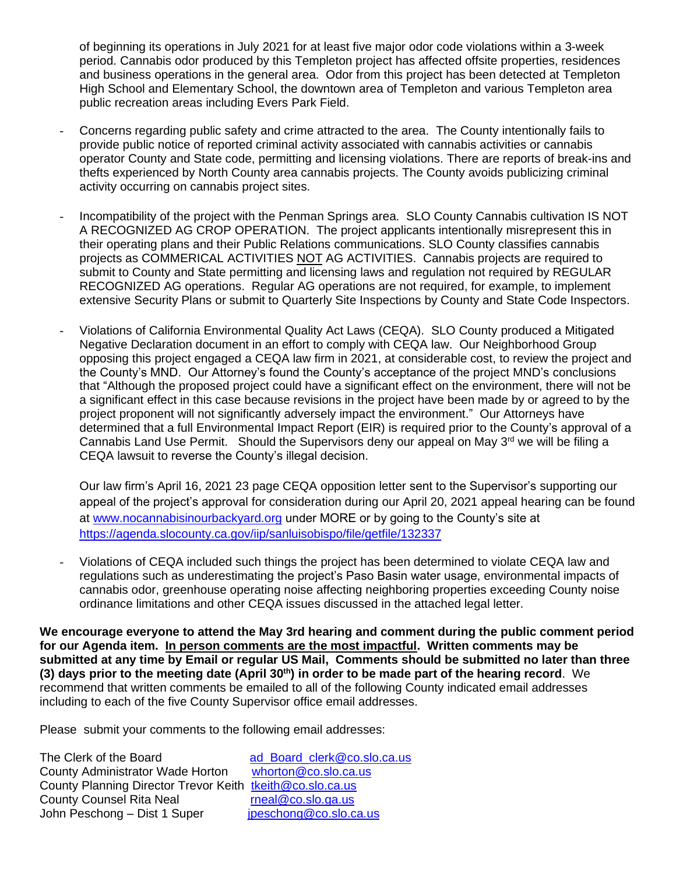of beginning its operations in July 2021 for at least five major odor code violations within a 3-week period. Cannabis odor produced by this Templeton project has affected offsite properties, residences and business operations in the general area. Odor from this project has been detected at Templeton High School and Elementary School, the downtown area of Templeton and various Templeton area public recreation areas including Evers Park Field.

- Concerns regarding public safety and crime attracted to the area. The County intentionally fails to provide public notice of reported criminal activity associated with cannabis activities or cannabis operator County and State code, permitting and licensing violations. There are reports of break-ins and thefts experienced by North County area cannabis projects. The County avoids publicizing criminal activity occurring on cannabis project sites.
- Incompatibility of the project with the Penman Springs area. SLO County Cannabis cultivation IS NOT A RECOGNIZED AG CROP OPERATION. The project applicants intentionally misrepresent this in their operating plans and their Public Relations communications. SLO County classifies cannabis projects as COMMERICAL ACTIVITIES NOT AG ACTIVITIES. Cannabis projects are required to submit to County and State permitting and licensing laws and regulation not required by REGULAR RECOGNIZED AG operations. Regular AG operations are not required, for example, to implement extensive Security Plans or submit to Quarterly Site Inspections by County and State Code Inspectors.
- Violations of California Environmental Quality Act Laws (CEQA). SLO County produced a Mitigated Negative Declaration document in an effort to comply with CEQA law. Our Neighborhood Group opposing this project engaged a CEQA law firm in 2021, at considerable cost, to review the project and the County's MND. Our Attorney's found the County's acceptance of the project MND's conclusions that "Although the proposed project could have a significant effect on the environment, there will not be a significant effect in this case because revisions in the project have been made by or agreed to by the project proponent will not significantly adversely impact the environment." Our Attorneys have determined that a full Environmental Impact Report (EIR) is required prior to the County's approval of a Cannabis Land Use Permit. Should the Supervisors deny our appeal on May  $3<sup>rd</sup>$  we will be filing a CEQA lawsuit to reverse the County's illegal decision.

Our law firm's April 16, 2021 23 page CEQA opposition letter sent to the Supervisor's supporting our appeal of the project's approval for consideration during our April 20, 2021 appeal hearing can be found at [www.nocannabisinourbackyard.org](http://www.nocannabisinourbackyard.org/) under MORE or by going to the County's site at <https://agenda.slocounty.ca.gov/iip/sanluisobispo/file/getfile/132337>

Violations of CEQA included such things the project has been determined to violate CEQA law and regulations such as underestimating the project's Paso Basin water usage, environmental impacts of cannabis odor, greenhouse operating noise affecting neighboring properties exceeding County noise ordinance limitations and other CEQA issues discussed in the attached legal letter.

**We encourage everyone to attend the May 3rd hearing and comment during the public comment period for our Agenda item. In person comments are the most impactful. Written comments may be submitted at any time by Email or regular US Mail, Comments should be submitted no later than three (3) days prior to the meeting date (April 30th) in order to be made part of the hearing record**. We recommend that written comments be emailed to all of the following County indicated email addresses including to each of the five County Supervisor office email addresses.

Please submit your comments to the following email addresses:

The Clerk of the Board<br>County Administrator Wade Horton vhorton@co.slo.ca.us County Administrator Wade Horton County Planning Director Trevor Keith [tkeith@co.slo.ca.us](mailto:tkeith@co.slo.ca.us) County Counsel Rita Neal [rneal@co.slo.ga.us](mailto:rneal@co.slo.ga.us) John Peschong – Dist 1 Super [jpeschong@co.slo.ca.us](mailto:jpeschong@co.slo.ca.us)